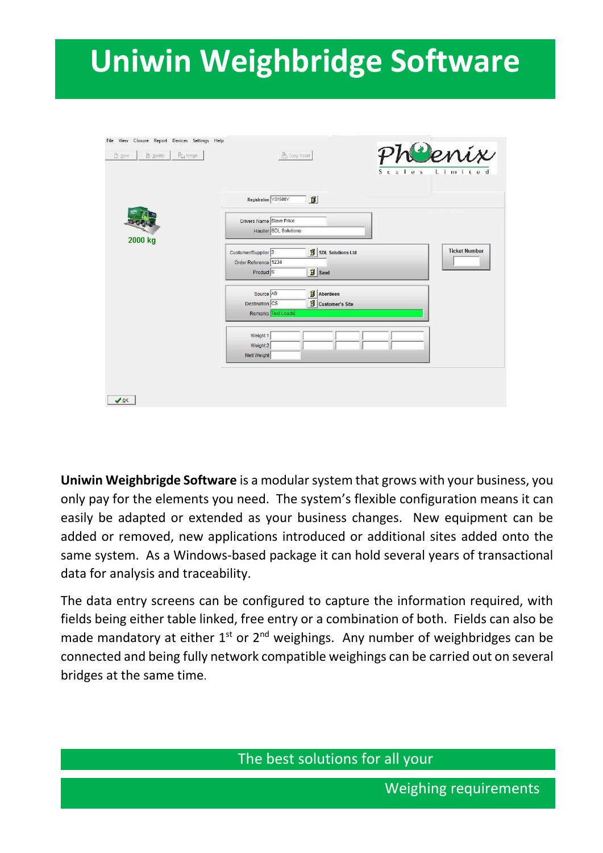# <sup>2</sup> **Uniwin Weighbridge Software**

| File View Closure Report Devices Settings Help<br>$\mathbb{B}_{\mathbb{H}}$ Weigh<br>图 Modify:<br>$D$ New | Copy Ticket                                                                                                              | Cenix<br>$L \cdot i \cdot m \cdot i \cdot t \cdot e \cdot d$<br>Scales |
|-----------------------------------------------------------------------------------------------------------|--------------------------------------------------------------------------------------------------------------------------|------------------------------------------------------------------------|
|                                                                                                           | $\blacksquare$<br>Registration YS1500Y                                                                                   |                                                                        |
|                                                                                                           | Drivers Name Steve Price<br>Haulier SDL Solutions                                                                        |                                                                        |
| 2000 kg                                                                                                   | SDL Solutions Ltd<br>Customer/Supplier <sup>3</sup><br>Order Reference 1234<br>$\mathbf{B}$ sand<br>Product <sup>S</sup> | <b>Ticket Number</b>                                                   |
|                                                                                                           | Aberdeen<br>Source AB<br>Destination CS<br>Customer's Site<br>Remarks Test Loads                                         |                                                                        |
|                                                                                                           | Weight 1<br>Weight 2<br>Nett Weight                                                                                      |                                                                        |
| $\vee$ ok                                                                                                 |                                                                                                                          |                                                                        |

**Uniwin Weighbrigde Software** is a modular system that grows with your business, you only pay for the elements you need. The system's flexible configuration means it can easily be adapted or extended as your business changes. New equipment can be added or removed, new applications introduced or additional sites added onto the same system. As a Windows-based package it can hold several years of transactional data for analysis and traceability.

The data entry screens can be configured to capture the information required, with fields being either table linked, free entry or a combination of both. Fields can also be made mandatory at either  $1^{st}$  or  $2^{nd}$  weighings. Any number of weighbridges can be connected and being fully network compatible weighings can be carried out on several bridges at the same time.

The best solutions for all your

Weighing requirements